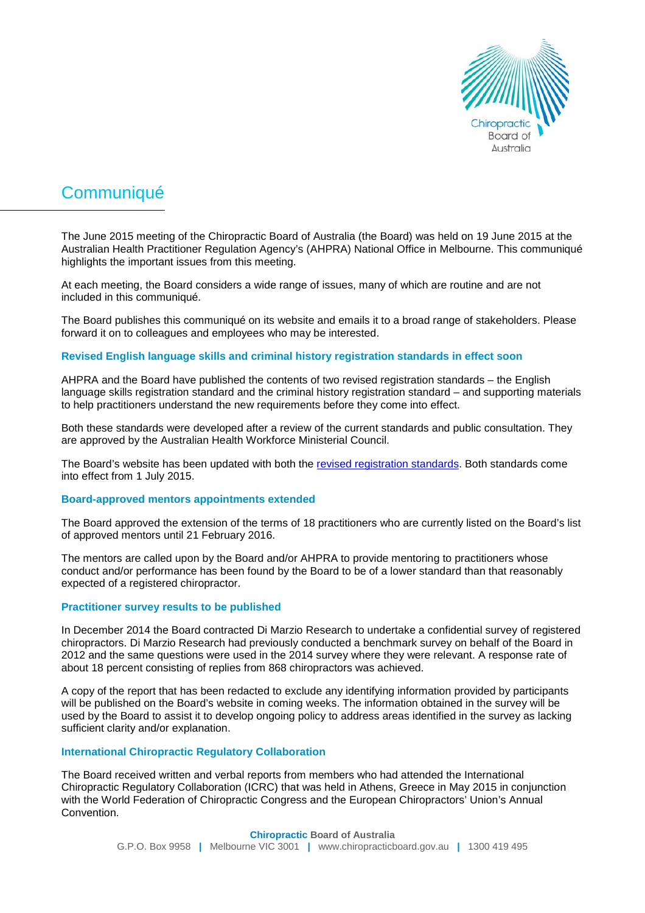

# **Communiqué**

The June 2015 meeting of the Chiropractic Board of Australia (the Board) was held on 19 June 2015 at the Australian Health Practitioner Regulation Agency's (AHPRA) National Office in Melbourne. This communiqué highlights the important issues from this meeting.

At each meeting, the Board considers a wide range of issues, many of which are routine and are not included in this communiqué.

The Board publishes this communiqué on its website and emails it to a broad range of stakeholders. Please forward it on to colleagues and employees who may be interested.

### **Revised English language skills and criminal history registration standards in effect soon**

AHPRA and the Board have published the contents of two revised registration standards – the English language skills registration standard and the criminal history registration standard – and supporting materials to help practitioners understand the new requirements before they come into effect.

Both these standards were developed after a review of the current standards and public consultation. They are approved by the Australian Health Workforce Ministerial Council.

The Board's website has been updated with both the [revised registration standards.](http://www.chiropracticboard.gov.au/Registration-standards.aspx) Both standards come into effect from 1 July 2015.

#### **Board-approved mentors appointments extended**

The Board approved the extension of the terms of 18 practitioners who are currently listed on the Board's list of approved mentors until 21 February 2016.

The mentors are called upon by the Board and/or AHPRA to provide mentoring to practitioners whose conduct and/or performance has been found by the Board to be of a lower standard than that reasonably expected of a registered chiropractor.

#### **Practitioner survey results to be published**

In December 2014 the Board contracted Di Marzio Research to undertake a confidential survey of registered chiropractors. Di Marzio Research had previously conducted a benchmark survey on behalf of the Board in 2012 and the same questions were used in the 2014 survey where they were relevant. A response rate of about 18 percent consisting of replies from 868 chiropractors was achieved.

A copy of the report that has been redacted to exclude any identifying information provided by participants will be published on the Board's website in coming weeks. The information obtained in the survey will be used by the Board to assist it to develop ongoing policy to address areas identified in the survey as lacking sufficient clarity and/or explanation.

#### **International Chiropractic Regulatory Collaboration**

The Board received written and verbal reports from members who had attended the International Chiropractic Regulatory Collaboration (ICRC) that was held in Athens, Greece in May 2015 in conjunction with the World Federation of Chiropractic Congress and the European Chiropractors' Union's Annual Convention.